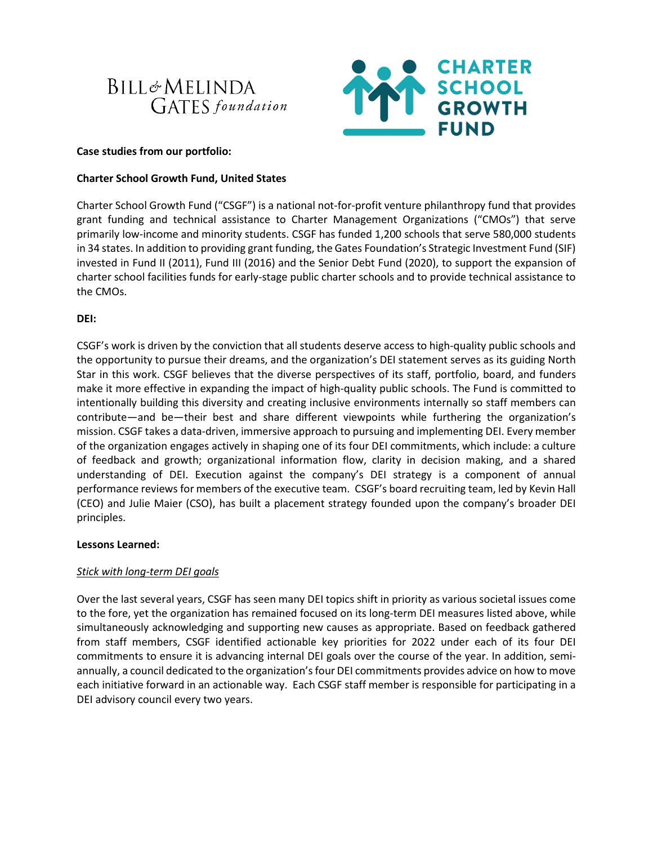



### **Case studies from our portfolio:**

# **Charter School Growth Fund, United States**

Charter School Growth Fund ("CSGF") is a national not-for-profit venture philanthropy fund that provides grant funding and technical assistance to Charter Management Organizations ("CMOs") that serve primarily low-income and minority students. CSGF has funded 1,200 schools that serve 580,000 students in 34 states. In addition to providing grant funding, the Gates Foundation's Strategic Investment Fund (SIF) invested in Fund II (2011), Fund III (2016) and the Senior Debt Fund (2020), to support the expansion of charter school facilities funds for early-stage public charter schools and to provide technical assistance to the CMOs.

# **DEI:**

CSGF's work is driven by the conviction that all students deserve access to high-quality public schools and the opportunity to pursue their dreams, and the organization's DEI statement serves as its guiding North Star in this work. CSGF believes that the diverse perspectives of its staff, portfolio, board, and funders make it more effective in expanding the impact of high-quality public schools. The Fund is committed to intentionally building this diversity and creating inclusive environments internally so staff members can contribute—and be—their best and share different viewpoints while furthering the organization's mission. CSGF takes a data-driven, immersive approach to pursuing and implementing DEI. Every member of the organization engages actively in shaping one of its four DEI commitments, which include: a culture of feedback and growth; organizational information flow, clarity in decision making, and a shared understanding of DEI. Execution against the company's DEI strategy is a component of annual performance reviews for members of the executive team. CSGF's board recruiting team, led by Kevin Hall (CEO) and Julie Maier (CSO), has built a placement strategy founded upon the company's broader DEI principles.

### **Lessons Learned:**

# *Stick with long-term DEI goals*

Over the last several years, CSGF has seen many DEI topics shift in priority as various societal issues come to the fore, yet the organization has remained focused on its long-term DEI measures listed above, while simultaneously acknowledging and supporting new causes as appropriate. Based on feedback gathered from staff members, CSGF identified actionable key priorities for 2022 under each of its four DEI commitments to ensure it is advancing internal DEI goals over the course of the year. In addition, semiannually, a council dedicated to the organization's four DEI commitments provides advice on how to move each initiative forward in an actionable way. Each CSGF staff member is responsible for participating in a DEI advisory council every two years.